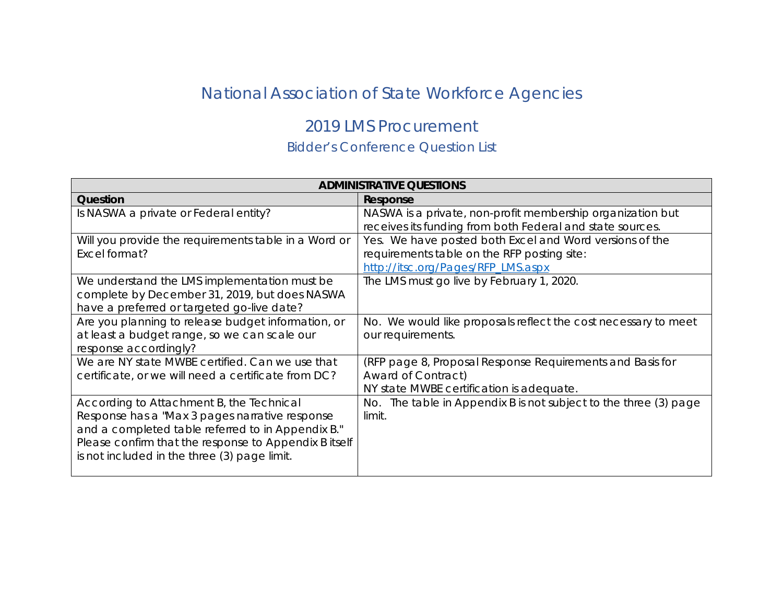## National Association of State Workforce Agencies

## 2019 LMS Procurement

## Bidder's Conference Question List

| <b>ADMINISTRATIVE QUESTIONS</b>                                                                                                                                                                                                                          |                                                                                                                                              |
|----------------------------------------------------------------------------------------------------------------------------------------------------------------------------------------------------------------------------------------------------------|----------------------------------------------------------------------------------------------------------------------------------------------|
| Question                                                                                                                                                                                                                                                 | Response                                                                                                                                     |
| Is NASWA a private or Federal entity?                                                                                                                                                                                                                    | NASWA is a private, non-profit membership organization but<br>receives its funding from both Federal and state sources.                      |
| Will you provide the requirements table in a Word or<br>Excel format?                                                                                                                                                                                    | Yes. We have posted both Excel and Word versions of the<br>requirements table on the RFP posting site:<br>http://itsc.org/Pages/RFP_LMS.aspx |
| We understand the LMS implementation must be<br>complete by December 31, 2019, but does NASWA<br>have a preferred or targeted go-live date?                                                                                                              | The LMS must go live by February 1, 2020.                                                                                                    |
| Are you planning to release budget information, or<br>at least a budget range, so we can scale our<br>response accordingly?                                                                                                                              | No. We would like proposals reflect the cost necessary to meet<br>our requirements.                                                          |
| We are NY state MWBE certified. Can we use that<br>certificate, or we will need a certificate from DC?                                                                                                                                                   | (RFP page 8, Proposal Response Requirements and Basis for<br>Award of Contract)<br>NY state MWBE certification is adequate.                  |
| According to Attachment B, the Technical<br>Response has a "Max 3 pages narrative response<br>and a completed table referred to in Appendix B."<br>Please confirm that the response to Appendix B itself<br>is not included in the three (3) page limit. | No. The table in Appendix B is not subject to the three (3) page<br>limit.                                                                   |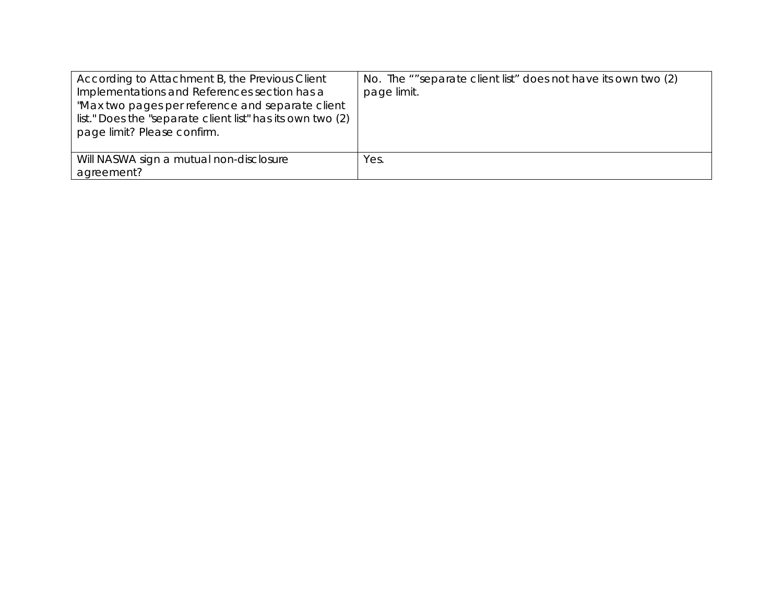| According to Attachment B, the Previous Client<br>Implementations and References section has a<br>"Max two pages per reference and separate client<br>list." Does the "separate client list" has its own two (2)<br>page limit? Please confirm. | No. The ""separate client list" does not have its own two (2)<br>page limit. |
|-------------------------------------------------------------------------------------------------------------------------------------------------------------------------------------------------------------------------------------------------|------------------------------------------------------------------------------|
| Will NASWA sign a mutual non-disclosure<br>agreement?                                                                                                                                                                                           | Yes.                                                                         |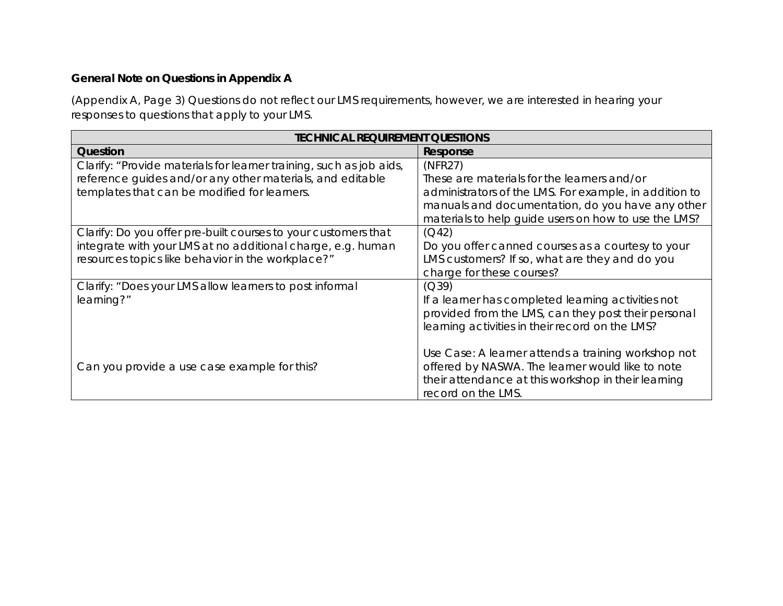## **General Note on Questions in Appendix A**

(Appendix A, Page 3) Questions do not reflect our LMS requirements, however, we are interested in hearing your responses to questions that apply to your LMS.

| <b>TECHNICAL REQUIREMENT QUESTIONS</b>                                                                                                                                             |                                                                                                                                                                                                                              |
|------------------------------------------------------------------------------------------------------------------------------------------------------------------------------------|------------------------------------------------------------------------------------------------------------------------------------------------------------------------------------------------------------------------------|
| Question                                                                                                                                                                           | Response                                                                                                                                                                                                                     |
| Clarify: "Provide materials for learner training, such as job aids,<br>reference guides and/or any other materials, and editable<br>templates that can be modified for learners.   | (NFR27)<br>These are materials for the learners and/or<br>administrators of the LMS. For example, in addition to<br>manuals and documentation, do you have any other<br>materials to help guide users on how to use the LMS? |
| Clarify: Do you offer pre-built courses to your customers that<br>integrate with your LMS at no additional charge, e.g. human<br>resources topics like behavior in the workplace?" | (Q42)<br>Do you offer canned courses as a courtesy to your<br>LMS customers? If so, what are they and do you<br>charge for these courses?                                                                                    |
| Clarify: "Does your LMS allow learners to post informal<br>learning?"                                                                                                              | (Q39)<br>If a learner has completed learning activities not<br>provided from the LMS, can they post their personal<br>learning activities in their record on the LMS?                                                        |
| Can you provide a use case example for this?                                                                                                                                       | Use Case: A learner attends a training workshop not<br>offered by NASWA. The learner would like to note<br>their attendance at this workshop in their learning<br>record on the LMS.                                         |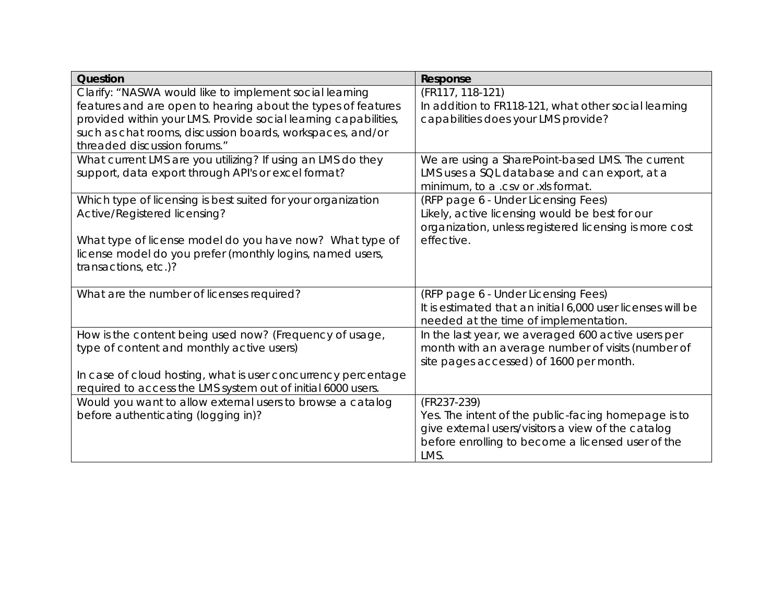| Question                                                        | Response                                                    |
|-----------------------------------------------------------------|-------------------------------------------------------------|
| Clarify: "NASWA would like to implement social learning         | (FR117, 118-121)                                            |
| features and are open to hearing about the types of features    | In addition to FR118-121, what other social learning        |
| provided within your LMS. Provide social learning capabilities, | capabilities does your LMS provide?                         |
| such as chat rooms, discussion boards, workspaces, and/or       |                                                             |
| threaded discussion forums."                                    |                                                             |
| What current LMS are you utilizing? If using an LMS do they     | We are using a SharePoint-based LMS. The current            |
| support, data export through API's or excel format?             | LMS uses a SQL database and can export, at a                |
|                                                                 | minimum, to a .csv or .xls format.                          |
| Which type of licensing is best suited for your organization    | (RFP page 6 - Under Licensing Fees)                         |
| Active/Registered licensing?                                    | Likely, active licensing would be best for our              |
|                                                                 | organization, unless registered licensing is more cost      |
| What type of license model do you have now? What type of        | effective.                                                  |
| license model do you prefer (monthly logins, named users,       |                                                             |
| transactions, etc.)?                                            |                                                             |
| What are the number of licenses required?                       | (RFP page 6 - Under Licensing Fees)                         |
|                                                                 | It is estimated that an initial 6,000 user licenses will be |
|                                                                 | needed at the time of implementation.                       |
| How is the content being used now? (Frequency of usage,         | In the last year, we averaged 600 active users per          |
| type of content and monthly active users)                       | month with an average number of visits (number of           |
|                                                                 | site pages accessed) of 1600 per month.                     |
| In case of cloud hosting, what is user concurrency percentage   |                                                             |
| required to access the LMS system out of initial 6000 users.    |                                                             |
| Would you want to allow external users to browse a catalog      | (FR237-239)                                                 |
| before authenticating (logging in)?                             | Yes. The intent of the public-facing homepage is to         |
|                                                                 | give external users/visitors a view of the catalog          |
|                                                                 | before enrolling to become a licensed user of the           |
|                                                                 | LMS.                                                        |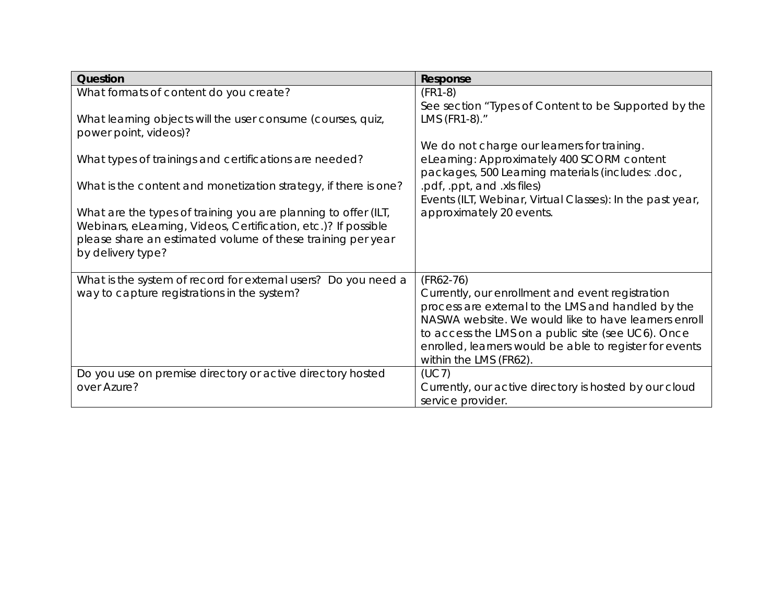| Question                                                                                                                         | Response                                                                                                   |
|----------------------------------------------------------------------------------------------------------------------------------|------------------------------------------------------------------------------------------------------------|
| What formats of content do you create?                                                                                           | $(FR1-8)$<br>See section "Types of Content to be Supported by the                                          |
| What learning objects will the user consume (courses, quiz,<br>power point, videos)?                                             | LMS (FR1-8)."                                                                                              |
| What types of trainings and certifications are needed?                                                                           | We do not charge our learners for training.<br>eLearning: Approximately 400 SCORM content                  |
|                                                                                                                                  | packages, 500 Learning materials (includes: .doc,                                                          |
| What is the content and monetization strategy, if there is one?                                                                  | .pdf, .ppt, and .xls files)<br>Events (ILT, Webinar, Virtual Classes): In the past year,                   |
| What are the types of training you are planning to offer (ILT,<br>Webinars, eLearning, Videos, Certification, etc.)? If possible | approximately 20 events.                                                                                   |
| please share an estimated volume of these training per year<br>by delivery type?                                                 |                                                                                                            |
| What is the system of record for external users? Do you need a                                                                   | $(FR62-76)$                                                                                                |
| way to capture registrations in the system?                                                                                      | Currently, our enrollment and event registration                                                           |
|                                                                                                                                  | process are external to the LMS and handled by the<br>NASWA website. We would like to have learners enroll |
|                                                                                                                                  | to access the LMS on a public site (see UC6). Once                                                         |
|                                                                                                                                  | enrolled, learners would be able to register for events                                                    |
|                                                                                                                                  | within the LMS (FR62).                                                                                     |
| Do you use on premise directory or active directory hosted                                                                       | (UC7)                                                                                                      |
| over Azure?                                                                                                                      | Currently, our active directory is hosted by our cloud                                                     |
|                                                                                                                                  | service provider.                                                                                          |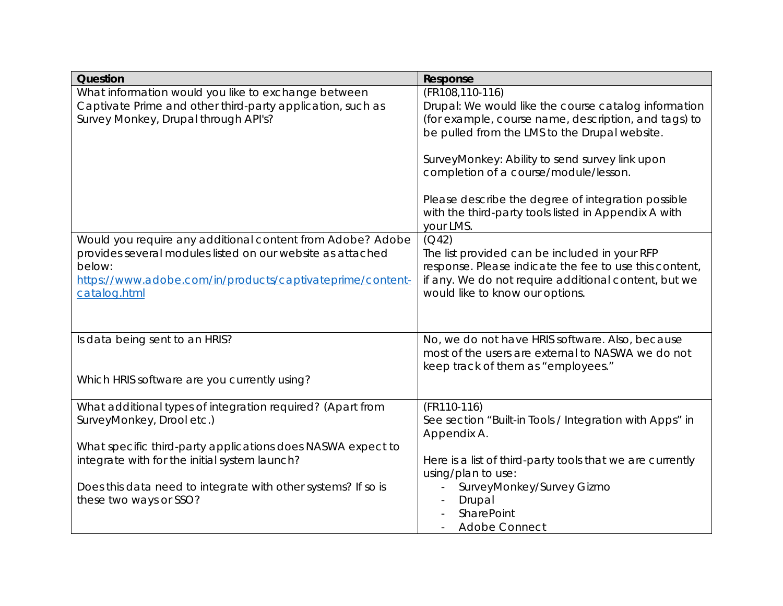| Question                                                      | Response                                                  |
|---------------------------------------------------------------|-----------------------------------------------------------|
| What information would you like to exchange between           | (FR108,110-116)                                           |
| Captivate Prime and other third-party application, such as    | Drupal: We would like the course catalog information      |
| Survey Monkey, Drupal through API's?                          | (for example, course name, description, and tags) to      |
|                                                               | be pulled from the LMS to the Drupal website.             |
|                                                               | SurveyMonkey: Ability to send survey link upon            |
|                                                               | completion of a course/module/lesson.                     |
|                                                               |                                                           |
|                                                               | Please describe the degree of integration possible        |
|                                                               | with the third-party tools listed in Appendix A with      |
|                                                               | your LMS.                                                 |
| Would you require any additional content from Adobe? Adobe    | (Q42)                                                     |
| provides several modules listed on our website as attached    | The list provided can be included in your RFP             |
| below:                                                        | response. Please indicate the fee to use this content,    |
| https://www.adobe.com/in/products/captivateprime/content-     | if any. We do not require additional content, but we      |
| catalog.html                                                  | would like to know our options.                           |
|                                                               |                                                           |
|                                                               |                                                           |
| Is data being sent to an HRIS?                                | No, we do not have HRIS software. Also, because           |
|                                                               | most of the users are external to NASWA we do not         |
|                                                               | keep track of them as "employees."                        |
| Which HRIS software are you currently using?                  |                                                           |
| What additional types of integration required? (Apart from    | (FR110-116)                                               |
| SurveyMonkey, Drool etc.)                                     | See section "Built-in Tools / Integration with Apps" in   |
|                                                               | Appendix A.                                               |
| What specific third-party applications does NASWA expect to   |                                                           |
| integrate with for the initial system launch?                 | Here is a list of third-party tools that we are currently |
|                                                               | using/plan to use:                                        |
| Does this data need to integrate with other systems? If so is | SurveyMonkey/Survey Gizmo                                 |
| these two ways or SSO?                                        | Drupal                                                    |
|                                                               | SharePoint                                                |
|                                                               | <b>Adobe Connect</b>                                      |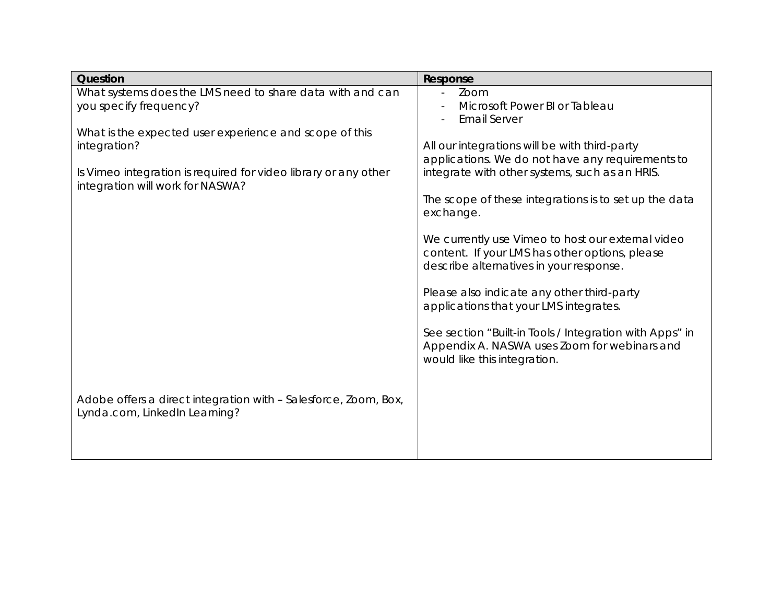| Question                                                                                                                                                                      | Response                                                                                                                                                                                                                                                                                                                                                                    |
|-------------------------------------------------------------------------------------------------------------------------------------------------------------------------------|-----------------------------------------------------------------------------------------------------------------------------------------------------------------------------------------------------------------------------------------------------------------------------------------------------------------------------------------------------------------------------|
| What systems does the LMS need to share data with and can<br>you specify frequency?                                                                                           | Zoom<br>Microsoft Power BI or Tableau<br><b>Email Server</b>                                                                                                                                                                                                                                                                                                                |
| What is the expected user experience and scope of this<br>integration?<br>Is Vimeo integration is required for video library or any other<br>integration will work for NASWA? | All our integrations will be with third-party<br>applications. We do not have any requirements to<br>integrate with other systems, such as an HRIS.<br>The scope of these integrations is to set up the data<br>exchange.<br>We currently use Vimeo to host our external video<br>content. If your LMS has other options, please<br>describe alternatives in your response. |
|                                                                                                                                                                               | Please also indicate any other third-party<br>applications that your LMS integrates.<br>See section "Built-in Tools / Integration with Apps" in<br>Appendix A. NASWA uses Zoom for webinars and<br>would like this integration.                                                                                                                                             |
| Adobe offers a direct integration with - Salesforce, Zoom, Box,<br>Lynda.com, LinkedIn Learning?                                                                              |                                                                                                                                                                                                                                                                                                                                                                             |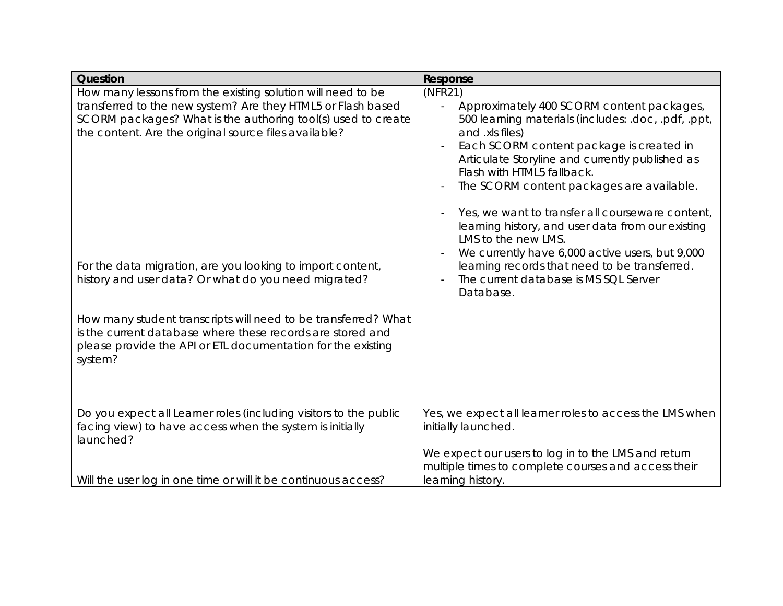| Question                                                                                                                                                                                                                                                                                                                                                                                                                                                                                                                                                                              | Response                                                                                                                                                                                                                                                                                                                                                                                                                                                                                                                                                                                           |
|---------------------------------------------------------------------------------------------------------------------------------------------------------------------------------------------------------------------------------------------------------------------------------------------------------------------------------------------------------------------------------------------------------------------------------------------------------------------------------------------------------------------------------------------------------------------------------------|----------------------------------------------------------------------------------------------------------------------------------------------------------------------------------------------------------------------------------------------------------------------------------------------------------------------------------------------------------------------------------------------------------------------------------------------------------------------------------------------------------------------------------------------------------------------------------------------------|
| How many lessons from the existing solution will need to be<br>transferred to the new system? Are they HTML5 or Flash based<br>SCORM packages? What is the authoring tool(s) used to create<br>the content. Are the original source files available?<br>For the data migration, are you looking to import content,<br>history and user data? Or what do you need migrated?<br>How many student transcripts will need to be transferred? What<br>is the current database where these records are stored and<br>please provide the API or ETL documentation for the existing<br>system? | (NFR21)<br>Approximately 400 SCORM content packages,<br>500 learning materials (includes: .doc, .pdf, .ppt,<br>and .xls files)<br>Each SCORM content package is created in<br>Articulate Storyline and currently published as<br>Flash with HTML5 fallback.<br>The SCORM content packages are available.<br>Yes, we want to transfer all courseware content,<br>learning history, and user data from our existing<br>LMS to the new LMS.<br>We currently have 6,000 active users, but 9,000<br>learning records that need to be transferred.<br>The current database is MS SQL Server<br>Database. |
| Do you expect all Learner roles (including visitors to the public<br>facing view) to have access when the system is initially<br>launched?                                                                                                                                                                                                                                                                                                                                                                                                                                            | Yes, we expect all learner roles to access the LMS when<br>initially launched.                                                                                                                                                                                                                                                                                                                                                                                                                                                                                                                     |
| Will the user log in one time or will it be continuous access?                                                                                                                                                                                                                                                                                                                                                                                                                                                                                                                        | We expect our users to log in to the LMS and return<br>multiple times to complete courses and access their<br>learning history.                                                                                                                                                                                                                                                                                                                                                                                                                                                                    |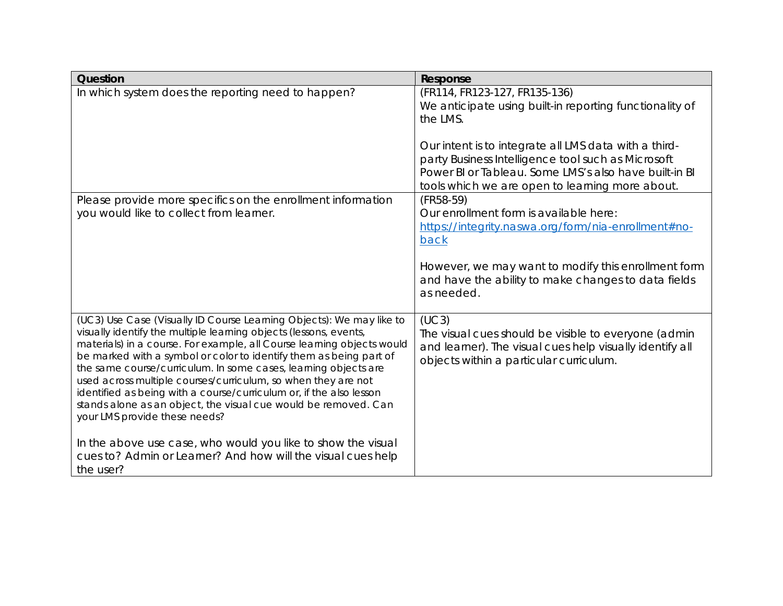| Question                                                                                                                                                                                                                                                                                                                                                                                                                                                                                                                                                                                                 | Response                                                                                                                                                                                                                |
|----------------------------------------------------------------------------------------------------------------------------------------------------------------------------------------------------------------------------------------------------------------------------------------------------------------------------------------------------------------------------------------------------------------------------------------------------------------------------------------------------------------------------------------------------------------------------------------------------------|-------------------------------------------------------------------------------------------------------------------------------------------------------------------------------------------------------------------------|
| In which system does the reporting need to happen?                                                                                                                                                                                                                                                                                                                                                                                                                                                                                                                                                       | (FR114, FR123-127, FR135-136)<br>We anticipate using built-in reporting functionality of<br>the LMS.                                                                                                                    |
|                                                                                                                                                                                                                                                                                                                                                                                                                                                                                                                                                                                                          | Our intent is to integrate all LMS data with a third-<br>party Business Intelligence tool such as Microsoft<br>Power BI or Tableau. Some LMS's also have built-in BI<br>tools which we are open to learning more about. |
| Please provide more specifics on the enrollment information<br>you would like to collect from learner.                                                                                                                                                                                                                                                                                                                                                                                                                                                                                                   | $(FR58-59)$<br>Our enrollment form is available here:<br>https://integrity.naswa.org/form/nia-enrollment#no-<br>back                                                                                                    |
|                                                                                                                                                                                                                                                                                                                                                                                                                                                                                                                                                                                                          | However, we may want to modify this enrollment form<br>and have the ability to make changes to data fields<br>as needed.                                                                                                |
| (UC3) Use Case (Visually ID Course Learning Objects): We may like to<br>visually identify the multiple learning objects (lessons, events,<br>materials) in a course. For example, all Course learning objects would<br>be marked with a symbol or color to identify them as being part of<br>the same course/curriculum. In some cases, learning objects are<br>used across multiple courses/curriculum, so when they are not<br>identified as being with a course/curriculum or, if the also lesson<br>stands alone as an object, the visual cue would be removed. Can<br>your LMS provide these needs? | (UC3)<br>The visual cues should be visible to everyone (admin<br>and learner). The visual cues help visually identify all<br>objects within a particular curriculum.                                                    |
| In the above use case, who would you like to show the visual<br>cues to? Admin or Learner? And how will the visual cues help<br>the user?                                                                                                                                                                                                                                                                                                                                                                                                                                                                |                                                                                                                                                                                                                         |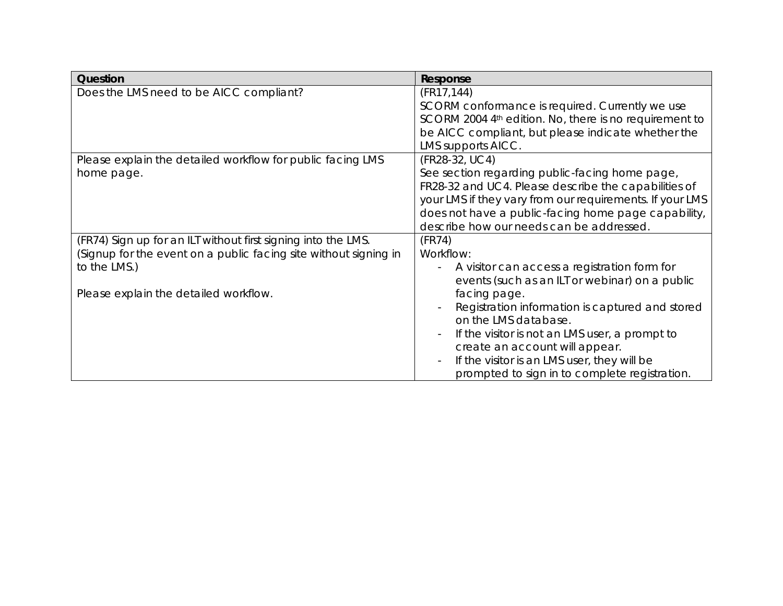| Question                                                         | Response                                                 |
|------------------------------------------------------------------|----------------------------------------------------------|
| Does the LMS need to be AICC compliant?                          | (FR17, 144)                                              |
|                                                                  | SCORM conformance is required. Currently we use          |
|                                                                  | SCORM 2004 4th edition. No, there is no requirement to   |
|                                                                  | be AICC compliant, but please indicate whether the       |
|                                                                  | LMS supports AICC.                                       |
| Please explain the detailed workflow for public facing LMS       | (FR28-32, UC4)                                           |
| home page.                                                       | See section regarding public-facing home page,           |
|                                                                  | FR28-32 and UC4. Please describe the capabilities of     |
|                                                                  | your LMS if they vary from our requirements. If your LMS |
|                                                                  | does not have a public-facing home page capability,      |
|                                                                  | describe how our needs can be addressed.                 |
| (FR74) Sign up for an ILT without first signing into the LMS.    | (FR74)                                                   |
| (Signup for the event on a public facing site without signing in | Workflow:                                                |
| to the LMS.)                                                     | A visitor can access a registration form for             |
|                                                                  | events (such as an ILT or webinar) on a public           |
| Please explain the detailed workflow.                            | facing page.                                             |
|                                                                  | Registration information is captured and stored          |
|                                                                  | on the LMS database.                                     |
|                                                                  | If the visitor is not an LMS user, a prompt to           |
|                                                                  | create an account will appear.                           |
|                                                                  | If the visitor is an LMS user, they will be              |
|                                                                  | prompted to sign in to complete registration.            |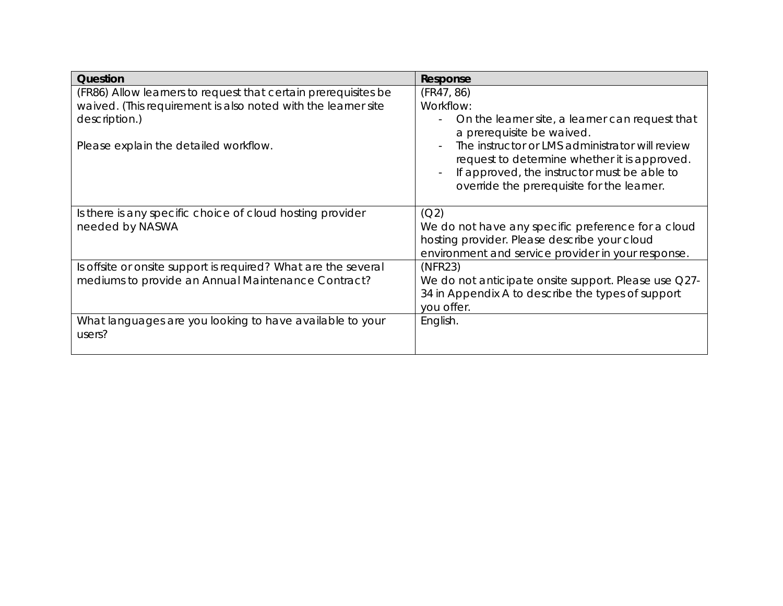| Question                                                                                                                                         | Response                                                                                                                                                                                     |
|--------------------------------------------------------------------------------------------------------------------------------------------------|----------------------------------------------------------------------------------------------------------------------------------------------------------------------------------------------|
| (FR86) Allow learners to request that certain prerequisites be<br>waived. (This requirement is also noted with the learner site<br>description.) | (FR47, 86)<br>Workflow:<br>On the learner site, a learner can request that<br>a prerequisite be waived.                                                                                      |
| Please explain the detailed workflow.                                                                                                            | The instructor or LMS administrator will review<br>request to determine whether it is approved.<br>If approved, the instructor must be able to<br>override the prerequisite for the learner. |
| Is there is any specific choice of cloud hosting provider<br>needed by NASWA                                                                     | (Q2)<br>We do not have any specific preference for a cloud<br>hosting provider. Please describe your cloud<br>environment and service provider in your response.                             |
| Is offsite or onsite support is required? What are the several<br>mediums to provide an Annual Maintenance Contract?                             | (NFR23)<br>We do not anticipate onsite support. Please use Q27-<br>34 in Appendix A to describe the types of support<br>you offer.                                                           |
| What languages are you looking to have available to your<br>users?                                                                               | English.                                                                                                                                                                                     |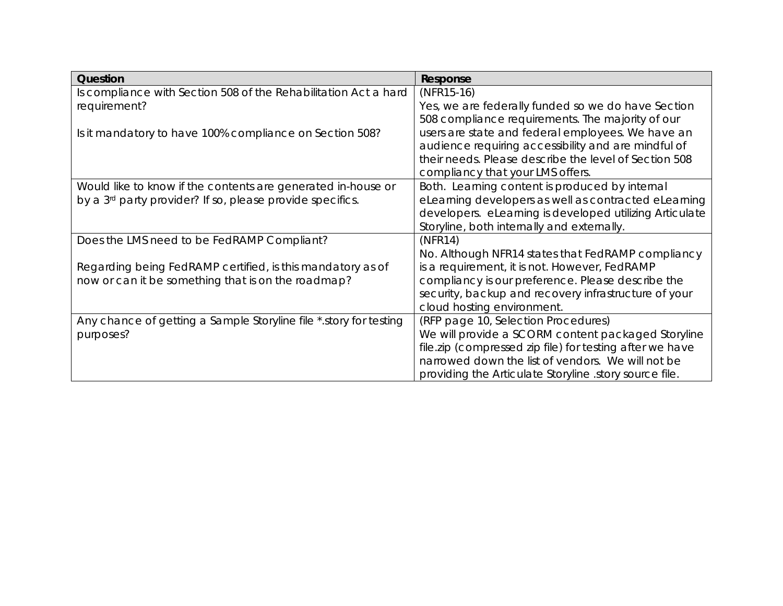| Question                                                              | Response                                                 |
|-----------------------------------------------------------------------|----------------------------------------------------------|
| Is compliance with Section 508 of the Rehabilitation Act a hard       | $(NFR15-16)$                                             |
| requirement?                                                          | Yes, we are federally funded so we do have Section       |
|                                                                       | 508 compliance requirements. The majority of our         |
| Is it mandatory to have 100% compliance on Section 508?               | users are state and federal employees. We have an        |
|                                                                       | audience requiring accessibility and are mindful of      |
|                                                                       | their needs. Please describe the level of Section 508    |
|                                                                       | compliancy that your LMS offers.                         |
| Would like to know if the contents are generated in-house or          | Both. Learning content is produced by internal           |
| by a 3 <sup>rd</sup> party provider? If so, please provide specifics. | eLearning developers as well as contracted eLearning     |
|                                                                       | developers. eLearning is developed utilizing Articulate  |
|                                                                       | Storyline, both internally and externally.               |
| Does the LMS need to be FedRAMP Compliant?                            | (NFR14)                                                  |
|                                                                       | No. Although NFR14 states that FedRAMP compliancy        |
| Regarding being FedRAMP certified, is this mandatory as of            | is a requirement, it is not. However, FedRAMP            |
| now or can it be something that is on the roadmap?                    | compliancy is our preference. Please describe the        |
|                                                                       | security, backup and recovery infrastructure of your     |
|                                                                       | cloud hosting environment.                               |
| Any chance of getting a Sample Storyline file * story for testing     | (RFP page 10, Selection Procedures)                      |
| purposes?                                                             | We will provide a SCORM content packaged Storyline       |
|                                                                       | file.zip (compressed zip file) for testing after we have |
|                                                                       | narrowed down the list of vendors. We will not be        |
|                                                                       | providing the Articulate Storyline story source file.    |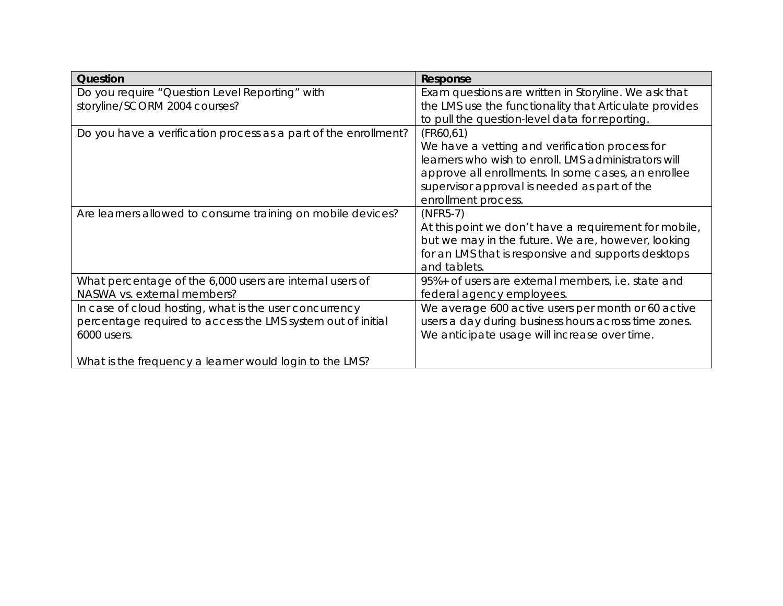| Question                                                        | Response                                               |
|-----------------------------------------------------------------|--------------------------------------------------------|
| Do you require "Question Level Reporting" with                  | Exam questions are written in Storyline. We ask that   |
| storyline/SCORM 2004 courses?                                   | the LMS use the functionality that Articulate provides |
|                                                                 | to pull the question-level data for reporting.         |
| Do you have a verification process as a part of the enrollment? | (FR60, 61)                                             |
|                                                                 | We have a vetting and verification process for         |
|                                                                 | learners who wish to enroll. LMS administrators will   |
|                                                                 | approve all enrollments. In some cases, an enrollee    |
|                                                                 | supervisor approval is needed as part of the           |
|                                                                 | enrollment process.                                    |
| Are learners allowed to consume training on mobile devices?     | $(NFR5-7)$                                             |
|                                                                 | At this point we don't have a requirement for mobile,  |
|                                                                 | but we may in the future. We are, however, looking     |
|                                                                 | for an LMS that is responsive and supports desktops    |
|                                                                 | and tablets.                                           |
| What percentage of the 6,000 users are internal users of        | 95%+ of users are external members, i.e. state and     |
| NASWA vs. external members?                                     | federal agency employees.                              |
| In case of cloud hosting, what is the user concurrency          | We average 600 active users per month or 60 active     |
| percentage required to access the LMS system out of initial     | users a day during business hours across time zones.   |
| 6000 users.                                                     | We anticipate usage will increase over time.           |
|                                                                 |                                                        |
| What is the frequency a learner would login to the LMS?         |                                                        |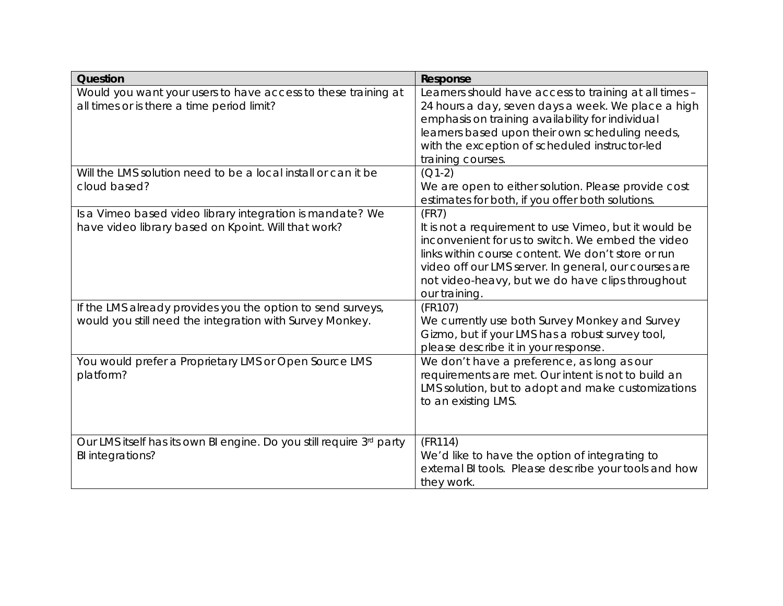| Question                                                                                                                | Response                                                                                                                                                                                                                                                                                                |
|-------------------------------------------------------------------------------------------------------------------------|---------------------------------------------------------------------------------------------------------------------------------------------------------------------------------------------------------------------------------------------------------------------------------------------------------|
| Would you want your users to have access to these training at<br>all times or is there a time period limit?             | Learners should have access to training at all times -<br>24 hours a day, seven days a week. We place a high<br>emphasis on training availability for individual<br>learners based upon their own scheduling needs,<br>with the exception of scheduled instructor-led<br>training courses.              |
| Will the LMS solution need to be a local install or can it be<br>cloud based?                                           | $(Q1-2)$<br>We are open to either solution. Please provide cost<br>estimates for both, if you offer both solutions.                                                                                                                                                                                     |
| Is a Vimeo based video library integration is mandate? We<br>have video library based on Kpoint. Will that work?        | (FR7)<br>It is not a requirement to use Vimeo, but it would be<br>inconvenient for us to switch. We embed the video<br>links within course content. We don't store or run<br>video off our LMS server. In general, our courses are<br>not video-heavy, but we do have clips throughout<br>our training. |
| If the LMS already provides you the option to send surveys,<br>would you still need the integration with Survey Monkey. | (FR107)<br>We currently use both Survey Monkey and Survey<br>Gizmo, but if your LMS has a robust survey tool,<br>please describe it in your response.                                                                                                                                                   |
| You would prefer a Proprietary LMS or Open Source LMS<br>platform?                                                      | We don't have a preference, as long as our<br>requirements are met. Our intent is not to build an<br>LMS solution, but to adopt and make customizations<br>to an existing LMS.                                                                                                                          |
| Our LMS itself has its own BI engine. Do you still require 3rd party<br>BI integrations?                                | (FR114)<br>We'd like to have the option of integrating to<br>external BI tools. Please describe your tools and how<br>they work.                                                                                                                                                                        |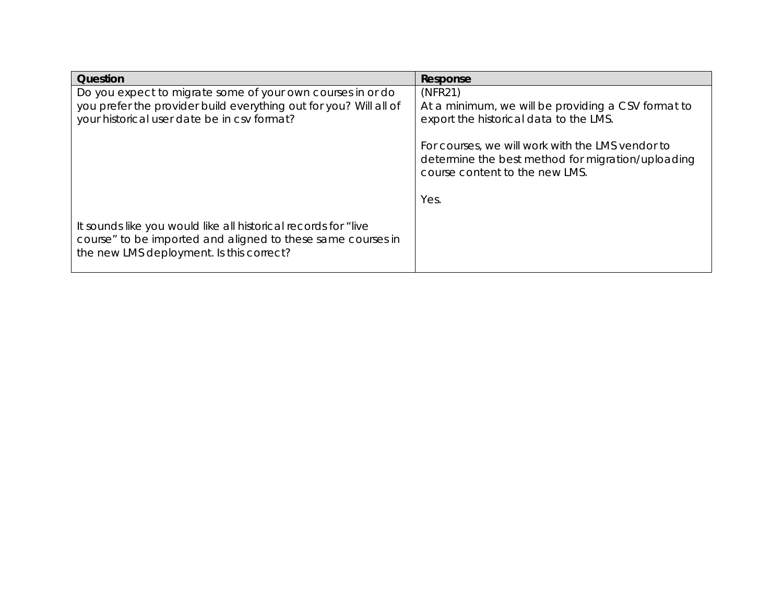| Question                                                                                                                                                                       | Response                                                                                                                                |
|--------------------------------------------------------------------------------------------------------------------------------------------------------------------------------|-----------------------------------------------------------------------------------------------------------------------------------------|
| Do you expect to migrate some of your own courses in or do<br>you prefer the provider build everything out for you? Will all of<br>your historical user date be in csv format? | (NFR21)<br>At a minimum, we will be providing a CSV format to<br>export the historical data to the LMS.                                 |
|                                                                                                                                                                                | For courses, we will work with the LMS vendor to<br>determine the best method for migration/uploading<br>course content to the new LMS. |
|                                                                                                                                                                                | Yes.                                                                                                                                    |
| It sounds like you would like all historical records for "live"<br>course" to be imported and aligned to these same courses in<br>the new LMS deployment. Is this correct?     |                                                                                                                                         |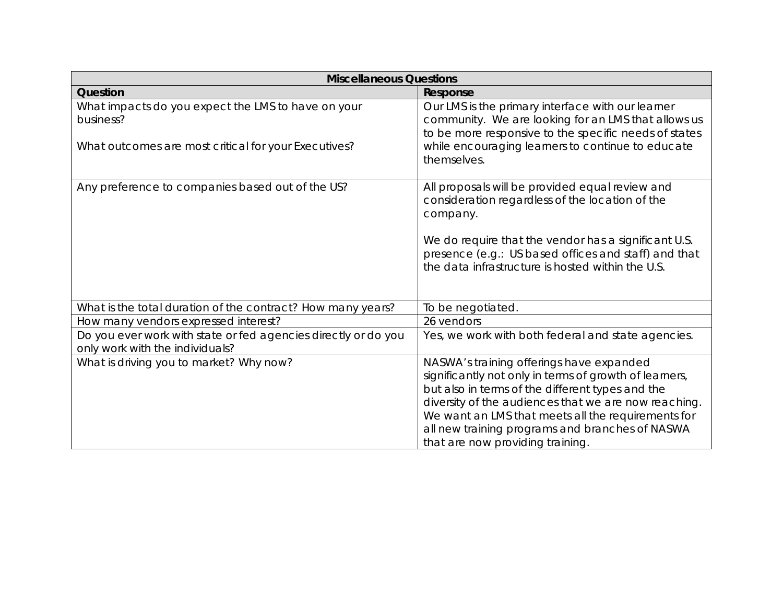| <b>Miscellaneous Questions</b>                                                                                          |                                                                                                                                                                                                                                                                                                                                                             |
|-------------------------------------------------------------------------------------------------------------------------|-------------------------------------------------------------------------------------------------------------------------------------------------------------------------------------------------------------------------------------------------------------------------------------------------------------------------------------------------------------|
| Question                                                                                                                | Response                                                                                                                                                                                                                                                                                                                                                    |
| What impacts do you expect the LMS to have on your<br>business?<br>What outcomes are most critical for your Executives? | Our LMS is the primary interface with our learner<br>community. We are looking for an LMS that allows us<br>to be more responsive to the specific needs of states<br>while encouraging learners to continue to educate<br>themselves.                                                                                                                       |
| Any preference to companies based out of the US?                                                                        | All proposals will be provided equal review and<br>consideration regardless of the location of the<br>company.<br>We do require that the vendor has a significant U.S.<br>presence (e.g.: US based offices and staff) and that<br>the data infrastructure is hosted within the U.S.                                                                         |
| What is the total duration of the contract? How many years?                                                             | To be negotiated.                                                                                                                                                                                                                                                                                                                                           |
| How many vendors expressed interest?                                                                                    | 26 vendors                                                                                                                                                                                                                                                                                                                                                  |
| Do you ever work with state or fed agencies directly or do you<br>only work with the individuals?                       | Yes, we work with both federal and state agencies.                                                                                                                                                                                                                                                                                                          |
| What is driving you to market? Why now?                                                                                 | NASWA's training offerings have expanded<br>significantly not only in terms of growth of learners,<br>but also in terms of the different types and the<br>diversity of the audiences that we are now reaching.<br>We want an LMS that meets all the requirements for<br>all new training programs and branches of NASWA<br>that are now providing training. |